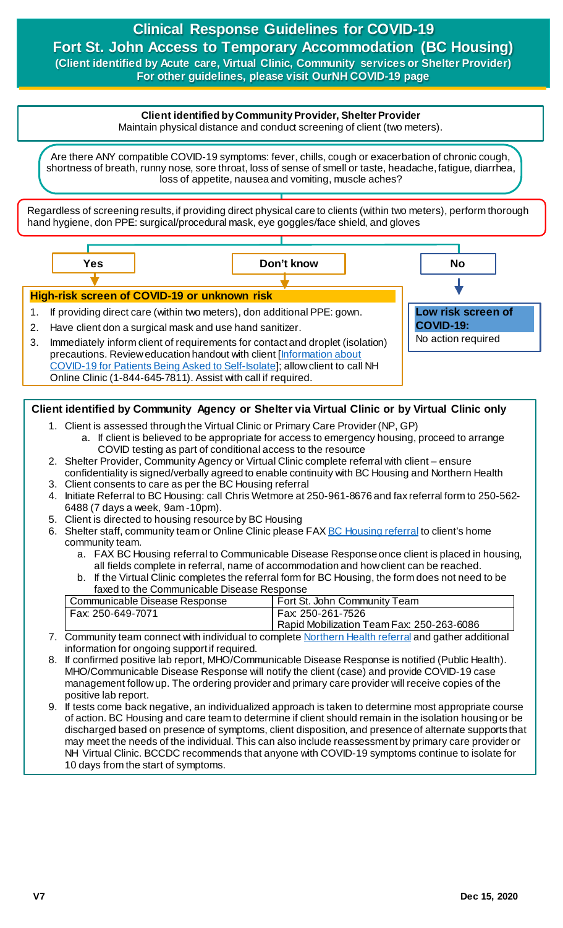# **Clinical Response Guidelines for COVID-19 Fort St. John Access to Temporary Accommodation (BC Housing) (Client identified by Acute care, Virtual Clinic, Community services or Shelter Provider)**

**For other guidelines, please visit OurNH COVID-19 page**

## **Client identified by Community Provider, Shelter Provider**

Maintain physical distance and conduct screening of client (two meters).

Are there ANY compatible COVID-19 symptoms: fever, chills, cough or exacerbation of chronic cough, shortness of breath, runny nose, sore throat, loss of sense of smell or taste, headache, fatigue, diarrhea, loss of appetite, nausea and vomiting, muscle aches?

Regardless of screening results, if providing direct physical care to clients (within two meters), perform thorough hand hygiene, don PPE: surgical/procedural mask, eye goggles/face shield, and gloves



Online Clinic (1-844-645-7811). Assist with call if required.

#### **Client identified by Community Agency or Shelter via Virtual Clinic or by Virtual Clinic only**

- 1. Client is assessed through the Virtual Clinic or Primary Care Provider (NP, GP) a. If client is believed to be appropriate for access to emergency housing, proceed to arrange
- COVID testing as part of conditional access to the resource 2. Shelter Provider, Community Agency or Virtual Clinic complete referral with client – ensure
- confidentiality is signed/verbally agreed to enable continuity with BC Housing and Northern Health 3. Client consents to care as per the BC Housing referral
- 4. Initiate Referral to BC Housing: call Chris Wetmore at 250-961-8676 and fax referral form to 250-562- 6488 (7 days a week, 9am -10pm).
- 5. Client is directed to housing resource by BC Housing
- 6. Shelter staff, community team or Online Clinic please FA[X BC Housing referral](http://docushare.northernhealth.ca/docushare/dsweb/Get/Document-349544/10-800-7005%20COVID-19%20Temporary%20Accommodation%20Referral%20%E2%80%93%20BC%20Housing%20information.pdf) to client's home community team.
	- a. FAX BC Housing referral to Communicable Disease Response once client is placed in housing, all fields complete in referral, name of accommodation and how client can be reached.
	- b. If the Virtual Clinic completes the referral form for BC Housing, the form does not need to be faxed to the Communicable Disease Response

| Communicable Disease Response | Fort St. John Community Team                                   |
|-------------------------------|----------------------------------------------------------------|
| Fax: 250-649-7071             | Fax: 250-261-7526<br>Rapid Mobilization Team Fax: 250-263-6086 |
|                               |                                                                |

- 7. Community team connect with individual to complet[e Northern Health](http://docushare.northernhealth.ca/docushare/dsweb/Get/Document-349545/10-800-7004%20COVID-19%20Temporary%20Accommodation%20Referral%20%E2%80%93%20Northern%20Health%20information.pdf) referral and gather additional information for ongoing support if required.
- 8. If confirmed positive lab report, MHO/Communicable Disease Response is notified (Public Health). MHO/Communicable Disease Response will notify the client (case) and provide COVID-19 case management follow up. The ordering provider and primary care provider will receive copies of the positive lab report.
- 9. If tests come back negative, an individualized approach is taken to determine most appropriate course of action. BC Housing and care team to determine if client should remain in the isolation housing or be discharged based on presence of symptoms, client disposition, and presence of alternate supports that may meet the needs of the individual. This can also include reassessment by primary care provider or NH Virtual Clinic. BCCDC recommends that anyone with COVID-19 symptoms continue to isolate for 10 days from the start of symptoms.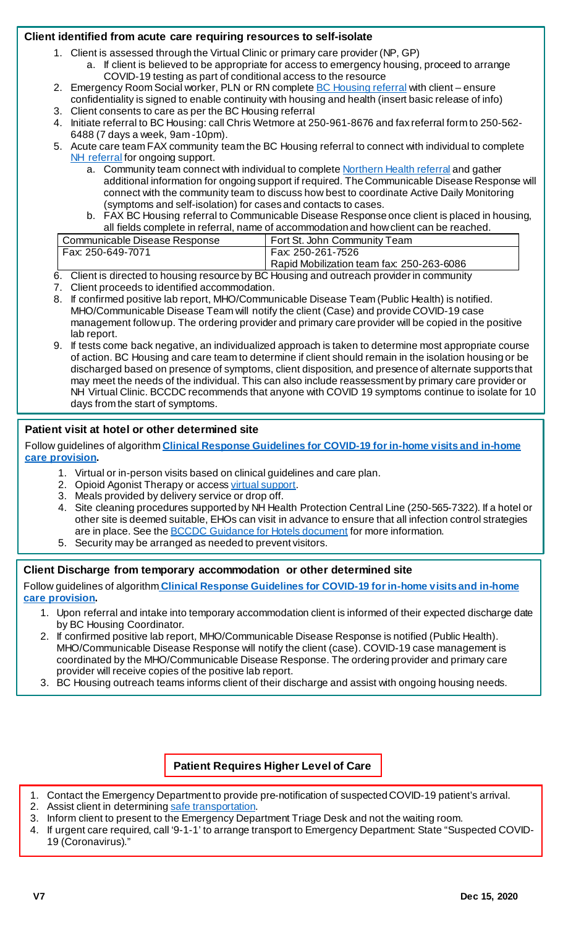### **Client identified from acute care requiring resources to self-isolate**

- 1. Client is assessed through the Virtual Clinic or primary care provider (NP, GP)
	- a. If client is believed to be appropriate for access to emergency housing, proceed to arrange COVID-19 testing as part of conditional access to the resource
- 2. Emergency Room Social worker, PLN or RN complete **BC Housing referral with client** ensure confidentiality is signed to enable continuity with housing and health (insert basic release of info)
- 3. Client consents to care as per the BC Housing referral
- 4. Initiate referral to BC Housing: call Chris Wetmore at 250-961-8676 and fax referral form to 250-562- 6488 (7 days a week, 9am -10pm).
- 5. Acute care team FAX community team the BC Housing referral to connect with individual to complete [NH referral](http://docushare.northernhealth.ca/docushare/dsweb/Get/Document-349545/10-800-7004%20COVID-19%20Temporary%20Accommodation%20Referral%20%E2%80%93%20Northern%20Health%20information.pdf) for ongoing support.
	- a. Community team connect with individual to complet[e Northern Health referral](http://docushare.northernhealth.ca/docushare/dsweb/Get/Document-349545/10-800-7004%20COVID-19%20Temporary%20Accommodation%20Referral%20%E2%80%93%20Northern%20Health%20information.pdf) and gather additional information for ongoing support if required. The Communicable Disease Response will connect with the community team to discuss how best to coordinate Active Daily Monitoring (symptoms and self-isolation) for cases and contacts to cases.
	- b. FAX BC Housing referral to Communicable Disease Response once client is placed in housing, all fields complete in referral, name of accommodation and how client can be reached.

| Communicable Disease Response | <sup>1</sup> Fort St. John Community Team |
|-------------------------------|-------------------------------------------|
| Fax: 250-649-7071             | Fax: 250-261-7526                         |
|                               | Rapid Mobilization team fax: 250-263-6086 |

- 6. Client is directed to housing resource by BC Housing and outreach provider in community
- 7. Client proceeds to identified accommodation.
- 8. If confirmed positive lab report, MHO/Communicable Disease Team (Public Health) is notified. MHO/Communicable Disease Team will notify the client (Case) and provide COVID-19 case management follow up. The ordering provider and primary care provider will be copied in the positive lab report.
- 9. If tests come back negative, an individualized approach is taken to determine most appropriate course of action. BC Housing and care team to determine if client should remain in the isolation housing or be discharged based on presence of symptoms, client disposition, and presence of alternate supports that may meet the needs of the individual. This can also include reassessment by primary care provider or NH Virtual Clinic. BCCDC recommends that anyone with COVID 19 symptoms continue to isolate for 10 days from the start of symptoms.

### **Patient visit at hotel or other determined site**

Follow guidelines of algorithm **[Clinical Response Guidelines for COVID-19 for in-home visits and in-home](https://ournh.northernhealth.ca/oursites/communications/OurNH%20Communications%20Documents/clinical-response-guidelines-for-in-home-visits-and-care-provision.pdf)  [care provision.](https://ournh.northernhealth.ca/oursites/communications/OurNH%20Communications%20Documents/clinical-response-guidelines-for-in-home-visits-and-care-provision.pdf)**

- 1. Virtual or in-person visits based on clinical guidelines and care plan.
- 2. Opioid Agonist Therapy or acces[s virtual support](https://ournh.northernhealth.ca/oursites/communications/OurNH%20Communications%20Documents/clinical-response-guideline-for-covid19-virtual-clinic-substance-use-pathway.pdf).
- 3. Meals provided by delivery service or drop off.
- 4. Site cleaning procedures supported by NH Health Protection Central Line (250-565-7322). If a hotel or other site is deemed suitable, EHOs can visit in advance to ensure that all infection control strategies are in place. See the **BCCDC** Guidance for Hotels document for more information.
- 5. Security may be arranged as needed to prevent visitors.

#### **Client Discharge from temporary accommodation or other determined site**

Follow guidelines of algorithm **[Clinical Response Guidelines for COVID-19 for in-home visits and in-home](https://ournh.northernhealth.ca/oursites/communications/OurNH%20Communications%20Documents/clinical-response-guidelines-for-in-home-visits-and-care-provision.pdf)  [care provision](https://ournh.northernhealth.ca/oursites/communications/OurNH%20Communications%20Documents/clinical-response-guidelines-for-in-home-visits-and-care-provision.pdf).**

- 1. Upon referral and intake into temporary accommodation client is informed of their expected discharge date by BC Housing Coordinator.
- 2. If confirmed positive lab report, MHO/Communicable Disease Response is notified (Public Health). MHO/Communicable Disease Response will notify the client (case). COVID-19 case management is coordinated by the MHO/Communicable Disease Response. The ordering provider and primary care provider will receive copies of the positive lab report.
- 3. BC Housing outreach teams informs client of their discharge and assist with ongoing housing needs.

**Patient Requires Higher Level of Care**

- 1. Contact the Emergency Department to provide pre-notification of suspected COVID-19 patient's arrival.
- 2. Assist client in determinin[g safe transportation.](http://www.bccdc.ca/health-professionals/clinical-resources/covid-19-care/clinical-care/first-responders)
- 3. Inform client to present to the Emergency Department Triage Desk and not the waiting room.
- 4. If urgent care required, call '9-1-1' to arrange transport to Emergency Department: State "Suspected COVID-19 (Coronavirus)."